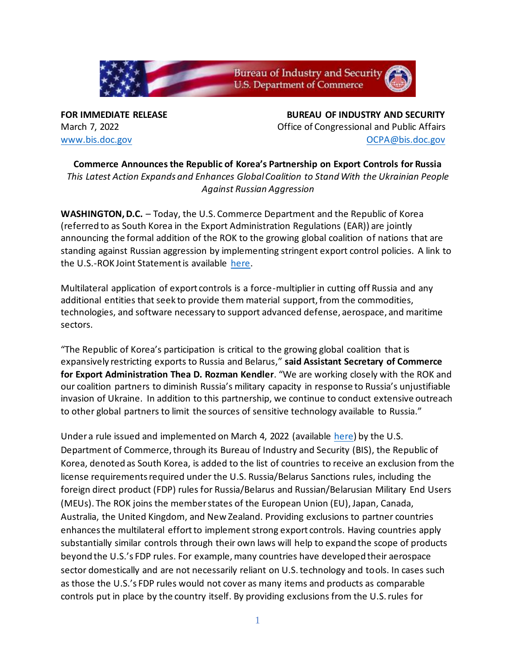

**FOR IMMEDIATE RELEASE BUREAU OF INDUSTRY AND SECURITY** March 7, 2022 Office of Congressional and Public Affairs [www.bis.doc.gov](http://www.bis.doc.gov/) [OCPA@bis.doc.gov](mailto:OCPA@bis.doc.gov)

**Commerce Announces the Republic of Korea's Partnership on Export Controls for Russia** *This Latest Action Expands and Enhances Global Coalition to Stand With the Ukrainian People Against Russian Aggression*

**WASHINGTON, D.C.** – Today, the U.S. Commerce Department and the Republic of Korea (referred to as South Korea in the Export Administration Regulations (EAR)) are jointly announcing the formal addition of the ROK to the growing global coalition of nations that are standing against Russian aggression by implementing stringent export control policies. A link to the U.S.-ROK Joint Statement is available [here.](https://www.commerce.gov/news/press-releases/2022/03/joint-statement-republic-koreas-partnership-export-controls-russia)

Multilateral application of export controls is a force-multiplier in cutting off Russia and any additional entities that seek to provide them material support, from the commodities, technologies, and software necessary to support advanced defense, aerospace, and maritime sectors.

"The Republic of Korea's participation is critical to the growing global coalition that is expansively restricting exports to Russia and Belarus," **said Assistant Secretary of Commerce for Export Administration Thea D. Rozman Kendler**. "We are working closely with the ROK and our coalition partners to diminish Russia's military capacity in response to Russia's unjustifiable invasion of Ukraine. In addition to this partnership, we continue to conduct extensive outreach to other global partners to limit the sources of sensitive technology available to Russia."

Under a rule issued and implemented on March 4, 2022 (available [here\)](https://www.federalregister.gov/public-inspection/2022-05025/export-administration-regulations-addition-to-the-list-of-countries-excluded-from-certain-license) by the U.S. Department of Commerce, through its Bureau of Industry and Security (BIS), the Republic of Korea, denoted as South Korea, is added to the list of countries to receive an exclusion from the license requirements required under the U.S. Russia/Belarus Sanctions rules, including the foreign direct product (FDP) rules for Russia/Belarus and Russian/Belarusian Military End Users (MEUs). The ROK joins the member states of the European Union (EU), Japan, Canada, Australia, the United Kingdom, and New Zealand. Providing exclusions to partner countries enhances the multilateral effort to implement strong export controls. Having countries apply substantially similar controls through their own laws will help to expand the scope of products beyond the U.S.'s FDP rules. For example, many countries have developed their aerospace sector domestically and are not necessarily reliant on U.S. technology and tools. In cases such as those the U.S.'s FDP rules would not cover as many items and products as comparable controls put in place by the country itself. By providing exclusions from the U.S. rules for